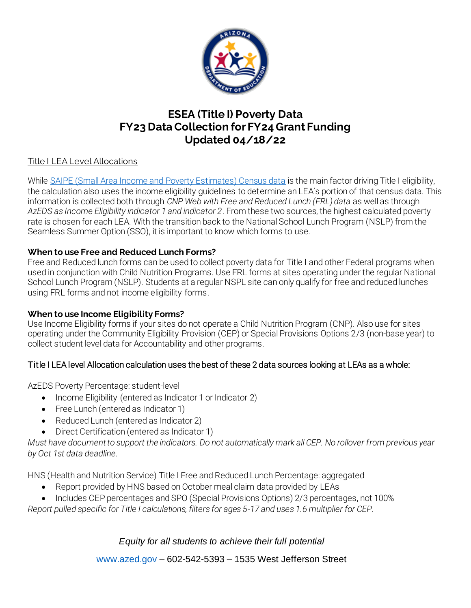

# **ESEA (Title I) Poverty Data FY23 Data Collection for FY24 Grant Funding Updated 04/18/22**

## Title I LEA Level Allocations

While SAIPE (Small Area Income and Poverty Estimates) Census data is the main factor driving Title I eligibility, the calculation also uses the income eligibility guidelines to determine an LEA's portion of that census data. This information is collected both through *CNP Web with Free and Reduced Lunch (FRL) data* as well as through *AzEDS as Income Eligibility indicator 1 and indicator 2*. From these two sources, the highest calculated poverty rate is chosen for each LEA. With the transition back to the National School Lunch Program (NSLP) from the Seamless Summer Option (SSO), it is important to know which forms to use.

### **When to use Free and Reduced Lunch Forms?**

Free and Reduced lunch forms can be used to collect poverty data for Title I and other Federal programs when used in conjunction with Child Nutrition Programs. Use FRL forms at sites operating under the regular National School Lunch Program (NSLP). Students at a regular NSPL site can only qualify for free and reduced lunches using FRL forms and not income eligibility forms.

#### **When to use Income Eligibility Forms?**

Use Income Eligibility forms if your sites do not operate a Child Nutrition Program (CNP). Also use for sites operating under the Community Eligibility Provision (CEP) or Special Provisions Options 2/3 (non-base year) to collect student level data for Accountability and other programs.

## Title I LEA level Allocation calculation uses the best of these 2 data sources looking at LEAs as a whole:

AzEDS Poverty Percentage: student-level

- Income Eligibility (entered as Indicator 1 or Indicator 2)
- Free Lunch (entered as Indicator 1)
- Reduced Lunch (entered as Indicator 2)
- Direct Certification (entered as Indicator 1)

*Must have document to support the indicators. Do not automatically mark all CEP. No rollover from previous year by Oct 1st data deadline.* 

HNS (Health and Nutrition Service) Title I Free and Reduced Lunch Percentage: aggregated

- Report provided by HNS based on October meal claim data provided by LEAs
- Includes CEP percentages and SPO (Special Provisions Options) 2/3 percentages, not 100%

*Report pulled specific for Title I calculations, filters for ages 5-17 and uses 1.6 multiplier for CEP.*

# *Equity for all students to achieve their full potential*

www.azed.gov – 602-542-5393 – 1535 West Jefferson Street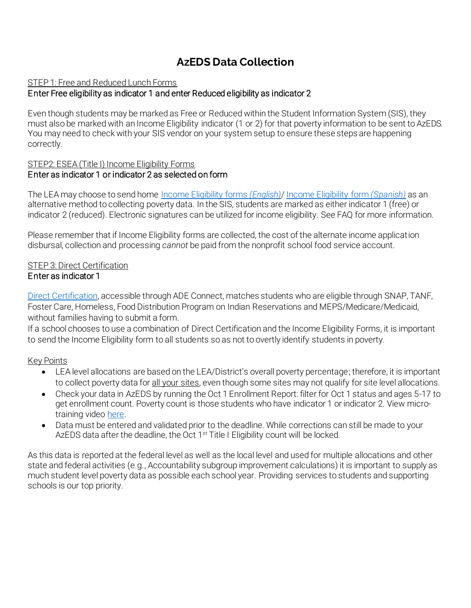# **AzEDS Data Collection**

### STEP 1: Free and Reduced Lunch Forms

## Enter Free eligibility as indicator 1 and enter Reduced eligibility as indicator 2

Even though students may be marked as Free or Reduced within the Student Information System (SIS), they must also be marked with an Income Eligibility indicator (1 or 2) for that poverty information to be sent to AzEDS. You may need to check with your SIS vendor on your system setup to ensure these steps are happening correctly.

### STEP2: ESEA (Title I) Income Eligibility Forms Enter as indicator 1 or indicator 2 as selected on form

The LEA may choose to send home Income Eligibility forms *(English)*/ Income Eligibility form *(Spanish)* as an alternative method to collecting poverty data. In the SIS, students are marked as either indicator 1 (free) or indicator 2 (reduced). Electronic signatures can be utilized for income eligibility. See FAQ for more information.

Please remember that if Income Eligibility forms are collected, the cost of the alternate income application disbursal, collection and processing *cannot* be paid from the nonprofit school food service account.

## STEP 3: Direct Certification

### Enter as indicator 1

Direct Certification, accessible through ADE Connect, matches students who are eligible through SNAP, TANF, Foster Care, Homeless, Food Distribution Program on Indian Reservations and MEPS/Medicare/Medicaid, without families having to submit a form.

If a school chooses to use a combination of Direct Certification and the Income Eligibility Forms, it is important to send the Income Eligibility form to all students so as not to overtly identify students in poverty.

## Key Points

- LEA level allocations are based on the LEA/District's overall poverty percentage; therefore, it is important to collect poverty data for all your sites, even though some sites may not qualify for site level allocations.
- Check your data in AzEDS by running the Oct 1 Enrollment Report: filter for Oct 1 status and ages 5-17 to get enrollment count. Poverty count is those students who have indicator 1 or indicator 2. View microtraining video here.
- Data must be entered and validated prior to the deadline. While corrections can still be made to your AzEDS data after the deadline, the Oct 1<sup>st</sup> Title I Eligibility count will be locked.

As this data is reported at the federal level as well as the local level and used for multiple allocations and other state and federal activities (e.g., Accountability subgroup improvement calculations) it is important to supply as much student level poverty data as possible each school year. Providing services to students and supporting schools is our top priority.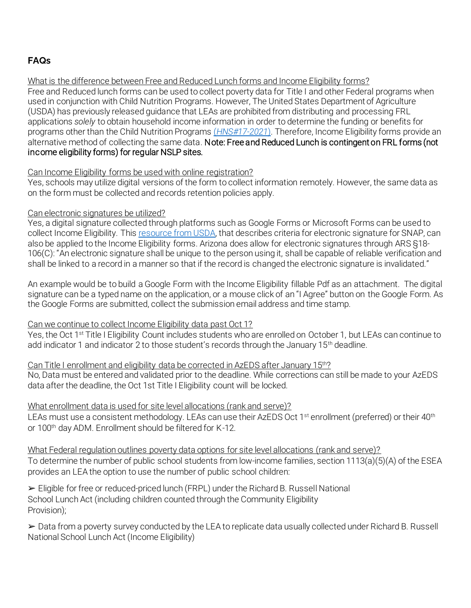# **FAQs**

#### What is the difference between Free and Reduced Lunch forms and Income Eligibility forms?

Free and Reduced lunch forms can be used to collect poverty data for Title I and other Federal programs when used in conjunction with Child Nutrition Programs. However, The United States Department of Agriculture (USDA) has previously released guidance that LEAs are prohibited from distributing and processing FRL applications *solely* to obtain household income information in order to determine the funding or benefits for programs other than the Child Nutrition Programs (*HNS#17-2021*). Therefore, Income Eligibility forms provide an alternative method of collecting the same data. Note: Free and Reduced Lunch is contingent on FRL forms (not income eligibility forms) for regular NSLP sites.

#### Can Income Eligibility forms be used with online registration?

Yes, schools may utilize digital versions of the form to collect information remotely. However, the same data as on the form must be collected and records retention policies apply.

#### Can electronic signatures be utilized?

Yes, a digital signature collected through platforms such as Google Forms or Microsoft Forms can be used to collect Income Eligibility. This resource from USDA, that describes criteria for electronic signature for SNAP, can also be applied to the Income Eligibility forms. Arizona does allow for electronic signatures through ARS §18- 106(C): "An electronic signature shall be unique to the person using it, shall be capable of reliable verification and shall be linked to a record in a manner so that if the record is changed the electronic signature is invalidated."

An example would be to build a Google Form with the Income Eligibility fillable Pdf as an attachment. The digital signature can be a typed name on the application, or a mouse click of an "I Agree" button on the Google Form. As the Google Forms are submitted, collect the submission email address and time stamp.

#### Can we continue to collect Income Eligibility data past Oct 1?

Yes, the Oct 1<sup>st</sup> Title I Eligibility Count includes students who are enrolled on October 1, but LEAs can continue to add indicator 1 and indicator 2 to those student's records through the January  $15<sup>th</sup>$  deadline.

Can Title I enrollment and eligibility data be corrected in AzEDS after January 15th? No, Data must be entered and validated prior to the deadline. While corrections can still be made to your AzEDS data after the deadline, the Oct 1st Title I Eligibility count will be locked.

#### What enrollment data is used for site level allocations (rank and serve)?

LEAs must use a consistent methodology. LEAs can use their AzEDS Oct 1<sup>st</sup> enrollment (preferred) or their 40<sup>th</sup> or 100<sup>th</sup> day ADM. Enrollment should be filtered for K-12.

What Federal regulation outlines poverty data options for site level allocations (rank and serve)? To determine the number of public school students from low-income families, section 1113(a)(5)(A) of the ESEA provides an LEA the option to use the number of public school children:

➢ Eligible for free or reduced-priced lunch (FRPL) under the Richard B. Russell National School Lunch Act (including children counted through the Community Eligibility Provision);

➢ Data from a poverty survey conducted by the LEA to replicate data usually collected under Richard B. Russell National School Lunch Act (Income Eligibility)